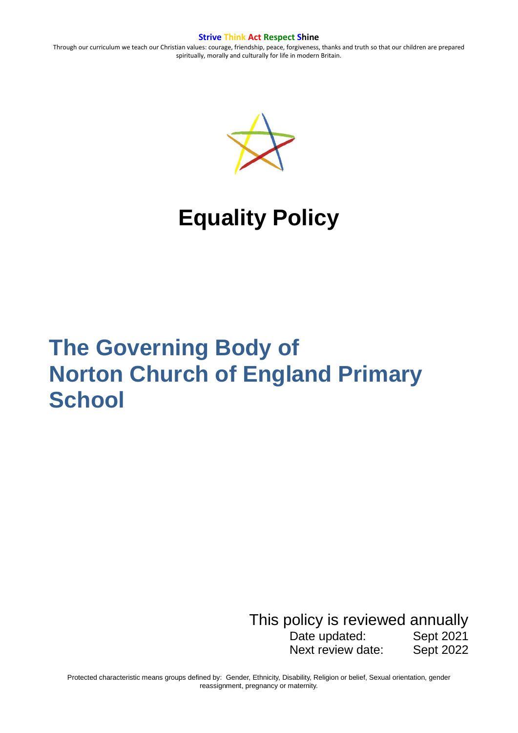Through our curriculum we teach our Christian values: courage, friendship, peace, forgiveness, thanks and truth so that our children are prepared spiritually, morally and culturally for life in modern Britain.



# **Equality Policy**

# **The Governing Body of Norton Church of England Primary School**

This policy is reviewed annually Date updated: Sept 2021 Next review date: Sept 2022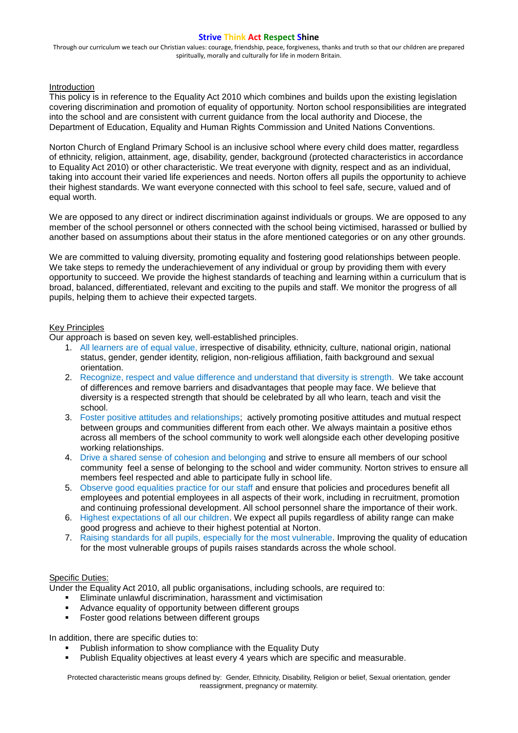Through our curriculum we teach our Christian values: courage, friendship, peace, forgiveness, thanks and truth so that our children are prepared spiritually, morally and culturally for life in modern Britain.

### Introduction

This policy is in reference to the Equality Act 2010 which combines and builds upon the existing legislation covering discrimination and promotion of equality of opportunity. Norton school responsibilities are integrated into the school and are consistent with current guidance from the local authority and Diocese, the Department of Education, Equality and Human Rights Commission and United Nations Conventions.

Norton Church of England Primary School is an inclusive school where every child does matter, regardless of ethnicity, religion, attainment, age, disability, gender, background (protected characteristics in accordance to Equality Act 2010) or other characteristic. We treat everyone with dignity, respect and as an individual, taking into account their varied life experiences and needs. Norton offers all pupils the opportunity to achieve their highest standards. We want everyone connected with this school to feel safe, secure, valued and of equal worth.

We are opposed to any direct or indirect discrimination against individuals or groups. We are opposed to any member of the school personnel or others connected with the school being victimised, harassed or bullied by another based on assumptions about their status in the afore mentioned categories or on any other grounds.

We are committed to valuing diversity, promoting equality and fostering good relationships between people. We take steps to remedy the underachievement of any individual or group by providing them with every opportunity to succeed. We provide the highest standards of teaching and learning within a curriculum that is broad, balanced, differentiated, relevant and exciting to the pupils and staff. We monitor the progress of all pupils, helping them to achieve their expected targets.

## Key Principles

Our approach is based on seven key, well-established principles.

- 1. All learners are of equal value, irrespective of disability, ethnicity, culture, national origin, national status, gender, gender identity, religion, non-religious affiliation, faith background and sexual orientation.
- 2. Recognize, respect and value difference and understand that diversity is strength. We take account of differences and remove barriers and disadvantages that people may face. We believe that diversity is a respected strength that should be celebrated by all who learn, teach and visit the school.
- 3. Foster positive attitudes and relationships; actively promoting positive attitudes and mutual respect between groups and communities different from each other. We always maintain a positive ethos across all members of the school community to work well alongside each other developing positive working relationships.
- 4. Drive a shared sense of cohesion and belonging and strive to ensure all members of our school community feel a sense of belonging to the school and wider community. Norton strives to ensure all members feel respected and able to participate fully in school life.
- 5. Observe good equalities practice for our staff and ensure that policies and procedures benefit all employees and potential employees in all aspects of their work, including in recruitment, promotion and continuing professional development. All school personnel share the importance of their work.
- 6. Highest expectations of all our children. We expect all pupils regardless of ability range can make good progress and achieve to their highest potential at Norton.
- 7. Raising standards for all pupils, especially for the most vulnerable. Improving the quality of education for the most vulnerable groups of pupils raises standards across the whole school.

#### Specific Duties:

Under the Equality Act 2010, all public organisations, including schools, are required to:

- Eliminate unlawful discrimination, harassment and victimisation
- Advance equality of opportunity between different groups
- **Foster good relations between different groups**

In addition, there are specific duties to:

- Publish information to show compliance with the Equality Duty
- Publish Equality objectives at least every 4 years which are specific and measurable.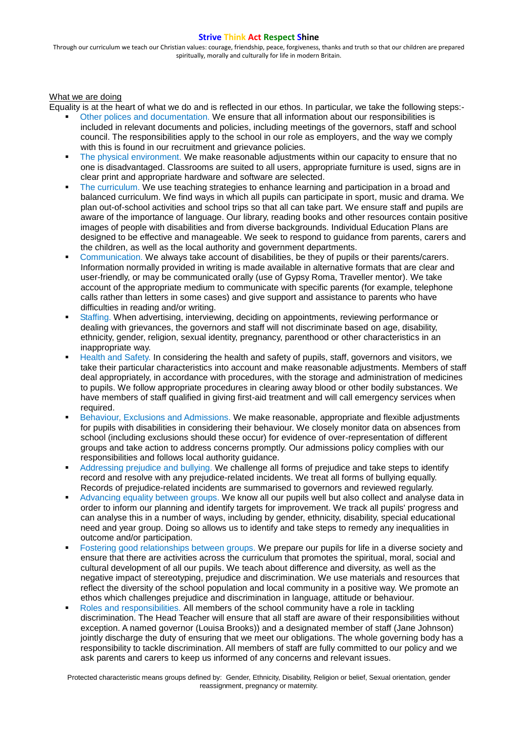Through our curriculum we teach our Christian values: courage, friendship, peace, forgiveness, thanks and truth so that our children are prepared spiritually, morally and culturally for life in modern Britain.

#### What we are doing

Equality is at the heart of what we do and is reflected in our ethos. In particular, we take the following steps:-

- Other polices and documentation. We ensure that all information about our responsibilities is included in relevant documents and policies, including meetings of the governors, staff and school council. The responsibilities apply to the school in our role as employers, and the way we comply with this is found in our recruitment and grievance policies.
- The physical environment. We make reasonable adjustments within our capacity to ensure that no one is disadvantaged. Classrooms are suited to all users, appropriate furniture is used, signs are in clear print and appropriate hardware and software are selected.
- The curriculum. We use teaching strategies to enhance learning and participation in a broad and balanced curriculum. We find ways in which all pupils can participate in sport, music and drama. We plan out-of-school activities and school trips so that all can take part. We ensure staff and pupils are aware of the importance of language. Our library, reading books and other resources contain positive images of people with disabilities and from diverse backgrounds. Individual Education Plans are designed to be effective and manageable. We seek to respond to guidance from parents, carers and the children, as well as the local authority and government departments.
- Communication. We always take account of disabilities, be they of pupils or their parents/carers. Information normally provided in writing is made available in alternative formats that are clear and user-friendly, or may be communicated orally (use of Gypsy Roma, Traveller mentor). We take account of the appropriate medium to communicate with specific parents (for example, telephone calls rather than letters in some cases) and give support and assistance to parents who have difficulties in reading and/or writing.
- Staffing. When advertising, interviewing, deciding on appointments, reviewing performance or dealing with grievances, the governors and staff will not discriminate based on age, disability, ethnicity, gender, religion, sexual identity, pregnancy, parenthood or other characteristics in an inappropriate way.
- Health and Safety. In considering the health and safety of pupils, staff, governors and visitors, we take their particular characteristics into account and make reasonable adjustments. Members of staff deal appropriately, in accordance with procedures, with the storage and administration of medicines to pupils. We follow appropriate procedures in clearing away blood or other bodily substances. We have members of staff qualified in giving first-aid treatment and will call emergency services when required.
- **Behaviour, Exclusions and Admissions. We make reasonable, appropriate and flexible adjustments** for pupils with disabilities in considering their behaviour. We closely monitor data on absences from school (including exclusions should these occur) for evidence of over-representation of different groups and take action to address concerns promptly. Our admissions policy complies with our responsibilities and follows local authority guidance.
- Addressing prejudice and bullying. We challenge all forms of prejudice and take steps to identify record and resolve with any prejudice-related incidents. We treat all forms of bullying equally. Records of prejudice-related incidents are summarised to governors and reviewed regularly.
- Advancing equality between groups. We know all our pupils well but also collect and analyse data in order to inform our planning and identify targets for improvement. We track all pupils' progress and can analyse this in a number of ways, including by gender, ethnicity, disability, special educational need and year group. Doing so allows us to identify and take steps to remedy any inequalities in outcome and/or participation.
- Fostering good relationships between groups. We prepare our pupils for life in a diverse society and ensure that there are activities across the curriculum that promotes the spiritual, moral, social and cultural development of all our pupils. We teach about difference and diversity, as well as the negative impact of stereotyping, prejudice and discrimination. We use materials and resources that reflect the diversity of the school population and local community in a positive way. We promote an ethos which challenges prejudice and discrimination in language, attitude or behaviour.
- Roles and responsibilities. All members of the school community have a role in tackling discrimination. The Head Teacher will ensure that all staff are aware of their responsibilities without exception. A named governor (Louisa Brooks)) and a designated member of staff (Jane Johnson) jointly discharge the duty of ensuring that we meet our obligations. The whole governing body has a responsibility to tackle discrimination. All members of staff are fully committed to our policy and we ask parents and carers to keep us informed of any concerns and relevant issues.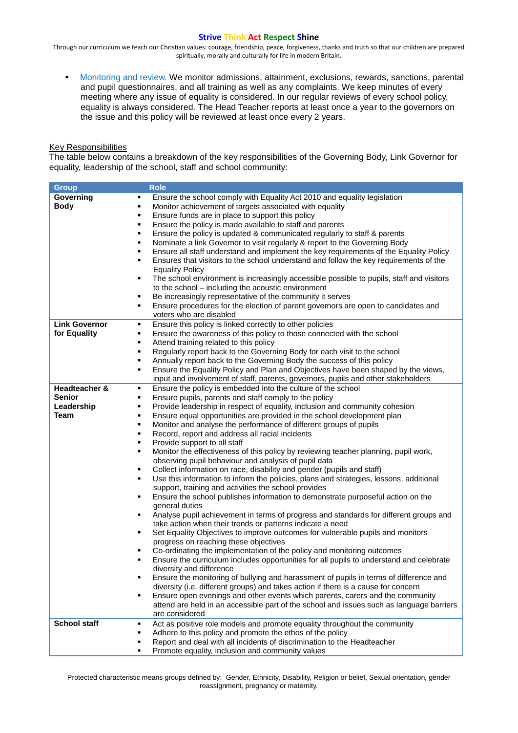Through our curriculum we teach our Christian values: courage, friendship, peace, forgiveness, thanks and truth so that our children are prepared spiritually, morally and culturally for life in modern Britain.

**Monitoring and review. We monitor admissions, attainment, exclusions, rewards, sanctions, parental** and pupil questionnaires, and all training as well as any complaints. We keep minutes of every meeting where any issue of equality is considered. In our regular reviews of every school policy, equality is always considered. The Head Teacher reports at least once a year to the governors on the issue and this policy will be reviewed at least once every 2 years.

# Key Responsibilities

The table below contains a breakdown of the key responsibilities of the Governing Body, Link Governor for equality, leadership of the school, staff and school community:

| <b>Group</b>                                         | <b>Role</b>                                                                                                                                                                                                                                                                                                                                                                                                                                                                                                                                                                                                                                                                                                                                                                                                                                                                                                                                                                                                                                                                                                                                                                                                                                                                                                                                                                                                                                                                                                                                                                                                                                                                                                                                                                                                                                                      |
|------------------------------------------------------|------------------------------------------------------------------------------------------------------------------------------------------------------------------------------------------------------------------------------------------------------------------------------------------------------------------------------------------------------------------------------------------------------------------------------------------------------------------------------------------------------------------------------------------------------------------------------------------------------------------------------------------------------------------------------------------------------------------------------------------------------------------------------------------------------------------------------------------------------------------------------------------------------------------------------------------------------------------------------------------------------------------------------------------------------------------------------------------------------------------------------------------------------------------------------------------------------------------------------------------------------------------------------------------------------------------------------------------------------------------------------------------------------------------------------------------------------------------------------------------------------------------------------------------------------------------------------------------------------------------------------------------------------------------------------------------------------------------------------------------------------------------------------------------------------------------------------------------------------------------|
| Governing<br><b>Body</b>                             | Ensure the school comply with Equality Act 2010 and equality legislation<br>٠<br>Monitor achievement of targets associated with equality<br>٠<br>Ensure funds are in place to support this policy<br>٠<br>Ensure the policy is made available to staff and parents<br>٠<br>Ensure the policy is updated & communicated regularly to staff & parents<br>٠<br>Nominate a link Governor to visit regularly & report to the Governing Body<br>٠<br>Ensure all staff understand and implement the key requirements of the Equality Policy<br>٠<br>Ensures that visitors to the school understand and follow the key requirements of the<br>٠<br><b>Equality Policy</b><br>The school environment is increasingly accessible possible to pupils, staff and visitors<br>٠<br>to the school - including the acoustic environment<br>Be increasingly representative of the community it serves<br>٠<br>Ensure procedures for the election of parent governors are open to candidates and<br>٠<br>voters who are disabled                                                                                                                                                                                                                                                                                                                                                                                                                                                                                                                                                                                                                                                                                                                                                                                                                                                  |
| <b>Link Governor</b><br>for Equality                 | Ensure this policy is linked correctly to other policies<br>٠<br>Ensure the awareness of this policy to those connected with the school<br>٠<br>Attend training related to this policy<br>٠<br>Regularly report back to the Governing Body for each visit to the school<br>٠<br>Annually report back to the Governing Body the success of this policy<br>п<br>Ensure the Equality Policy and Plan and Objectives have been shaped by the views,<br>٠<br>input and involvement of staff, parents, governors, pupils and other stakeholders                                                                                                                                                                                                                                                                                                                                                                                                                                                                                                                                                                                                                                                                                                                                                                                                                                                                                                                                                                                                                                                                                                                                                                                                                                                                                                                        |
| Headteacher &<br><b>Senior</b><br>Leadership<br>Team | Ensure the policy is embedded into the culture of the school<br>٠<br>Ensure pupils, parents and staff comply to the policy<br>Provide leadership in respect of equality, inclusion and community cohesion<br>٠<br>Ensure equal opportunities are provided in the school development plan<br>٠<br>Monitor and analyse the performance of different groups of pupils<br>٠<br>Record, report and address all racial incidents<br>٠<br>Provide support to all staff<br>٠<br>Monitor the effectiveness of this policy by reviewing teacher planning, pupil work,<br>٠<br>observing pupil behaviour and analysis of pupil data<br>Collect information on race, disability and gender (pupils and staff)<br>٠<br>Use this information to inform the policies, plans and strategies, lessons, additional<br>٠<br>support, training and activities the school provides<br>Ensure the school publishes information to demonstrate purposeful action on the<br>٠<br>general duties<br>Analyse pupil achievement in terms of progress and standards for different groups and<br>٠<br>take action when their trends or patterns indicate a need<br>Set Equality Objectives to improve outcomes for vulnerable pupils and monitors<br>٠<br>progress on reaching these objectives<br>Co-ordinating the implementation of the policy and monitoring outcomes<br>٠<br>Ensure the curriculum includes opportunities for all pupils to understand and celebrate<br>٠<br>diversity and difference<br>Ensure the monitoring of bullying and harassment of pupils in terms of difference and<br>diversity (i.e. different groups) and takes action if there is a cause for concern<br>Ensure open evenings and other events which parents, carers and the community<br>٠<br>attend are held in an accessible part of the school and issues such as language barriers<br>are considered |
| <b>School staff</b>                                  | Act as positive role models and promote equality throughout the community<br>٠<br>Adhere to this policy and promote the ethos of the policy<br>Report and deal with all incidents of discrimination to the Headteacher<br>Promote equality, inclusion and community values<br>٠                                                                                                                                                                                                                                                                                                                                                                                                                                                                                                                                                                                                                                                                                                                                                                                                                                                                                                                                                                                                                                                                                                                                                                                                                                                                                                                                                                                                                                                                                                                                                                                  |